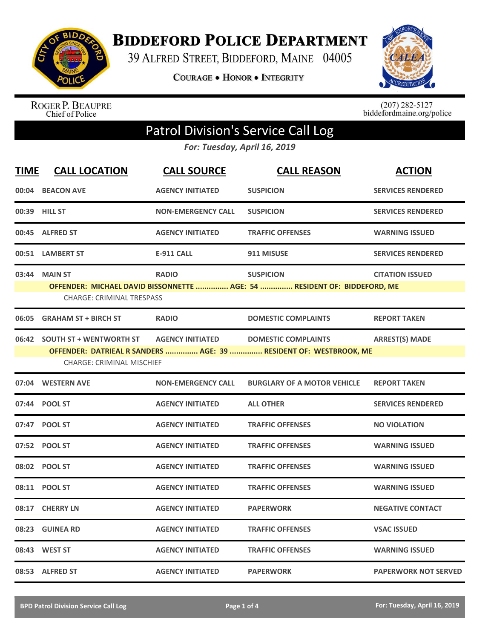

**BIDDEFORD POLICE DEPARTMENT** 

39 ALFRED STREET, BIDDEFORD, MAINE 04005

**COURAGE . HONOR . INTEGRITY** 



ROGER P. BEAUPRE<br>Chief of Police

 $(207)$  282-5127<br>biddefordmaine.org/police

## Patrol Division's Service Call Log

*For: Tuesday, April 16, 2019*

| <b>TIME</b> | <b>CALL LOCATION</b>                                               | <b>CALL SOURCE</b>        | <b>CALL REASON</b>                                                                              | <b>ACTION</b>               |
|-------------|--------------------------------------------------------------------|---------------------------|-------------------------------------------------------------------------------------------------|-----------------------------|
| 00:04       | <b>BEACON AVE</b>                                                  | <b>AGENCY INITIATED</b>   | <b>SUSPICION</b>                                                                                | <b>SERVICES RENDERED</b>    |
|             | 00:39 HILL ST                                                      | <b>NON-EMERGENCY CALL</b> | <b>SUSPICION</b>                                                                                | <b>SERVICES RENDERED</b>    |
| 00:45       | <b>ALFRED ST</b>                                                   | <b>AGENCY INITIATED</b>   | <b>TRAFFIC OFFENSES</b>                                                                         | <b>WARNING ISSUED</b>       |
|             | 00:51 LAMBERT ST                                                   | <b>E-911 CALL</b>         | 911 MISUSE                                                                                      | <b>SERVICES RENDERED</b>    |
|             | 03:44 MAIN ST<br><b>CHARGE: CRIMINAL TRESPASS</b>                  | <b>RADIO</b>              | <b>SUSPICION</b><br>OFFENDER: MICHAEL DAVID BISSONNETTE  AGE: 54  RESIDENT OF: BIDDEFORD, ME    | <b>CITATION ISSUED</b>      |
| 06:05       | <b>GRAHAM ST + BIRCH ST</b>                                        | <b>RADIO</b>              | <b>DOMESTIC COMPLAINTS</b>                                                                      | <b>REPORT TAKEN</b>         |
| 06:42       | <b>SOUTH ST + WENTWORTH ST</b><br><b>CHARGE: CRIMINAL MISCHIEF</b> | <b>AGENCY INITIATED</b>   | <b>DOMESTIC COMPLAINTS</b><br>OFFENDER: DATRIEAL R SANDERS  AGE: 39  RESIDENT OF: WESTBROOK, ME | <b>ARREST(S) MADE</b>       |
|             | 07:04 WESTERN AVE                                                  | <b>NON-EMERGENCY CALL</b> | <b>BURGLARY OF A MOTOR VEHICLE</b>                                                              | <b>REPORT TAKEN</b>         |
|             | 07:44 POOL ST                                                      | <b>AGENCY INITIATED</b>   | <b>ALL OTHER</b>                                                                                | <b>SERVICES RENDERED</b>    |
|             | 07:47 POOL ST                                                      | <b>AGENCY INITIATED</b>   | <b>TRAFFIC OFFENSES</b>                                                                         | <b>NO VIOLATION</b>         |
|             | 07:52 POOL ST                                                      | <b>AGENCY INITIATED</b>   | <b>TRAFFIC OFFENSES</b>                                                                         | <b>WARNING ISSUED</b>       |
|             | 08:02 POOL ST                                                      | <b>AGENCY INITIATED</b>   | <b>TRAFFIC OFFENSES</b>                                                                         | <b>WARNING ISSUED</b>       |
|             | 08:11 POOL ST                                                      | <b>AGENCY INITIATED</b>   | <b>TRAFFIC OFFENSES</b>                                                                         | <b>WARNING ISSUED</b>       |
| 08:17       | <b>CHERRY LN</b>                                                   | <b>AGENCY INITIATED</b>   | <b>PAPERWORK</b>                                                                                | <b>NEGATIVE CONTACT</b>     |
| 08:23       | <b>GUINEA RD</b>                                                   | <b>AGENCY INITIATED</b>   | <b>TRAFFIC OFFENSES</b>                                                                         | <b>VSAC ISSUED</b>          |
| 08:43       | <b>WEST ST</b>                                                     | <b>AGENCY INITIATED</b>   | <b>TRAFFIC OFFENSES</b>                                                                         | <b>WARNING ISSUED</b>       |
|             | 08:53 ALFRED ST                                                    | <b>AGENCY INITIATED</b>   | <b>PAPERWORK</b>                                                                                | <b>PAPERWORK NOT SERVED</b> |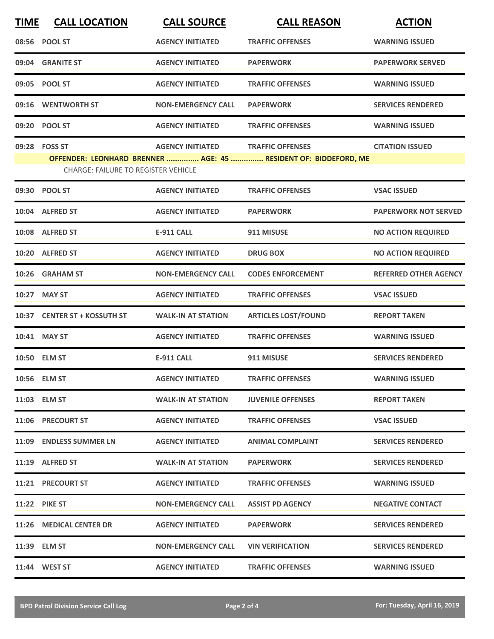| <b>TIME</b> | <b>CALL LOCATION</b>                       | <b>CALL SOURCE</b>        | <b>CALL REASON</b>                                              | <b>ACTION</b>                |
|-------------|--------------------------------------------|---------------------------|-----------------------------------------------------------------|------------------------------|
|             | 08:56 POOL ST                              | <b>AGENCY INITIATED</b>   | <b>TRAFFIC OFFENSES</b>                                         | <b>WARNING ISSUED</b>        |
|             | 09:04 GRANITE ST                           | <b>AGENCY INITIATED</b>   | <b>PAPERWORK</b>                                                | <b>PAPERWORK SERVED</b>      |
|             | 09:05 POOL ST                              | <b>AGENCY INITIATED</b>   | <b>TRAFFIC OFFENSES</b>                                         | <b>WARNING ISSUED</b>        |
|             | 09:16 WENTWORTH ST                         | <b>NON-EMERGENCY CALL</b> | <b>PAPERWORK</b>                                                | <b>SERVICES RENDERED</b>     |
|             | 09:20 POOL ST                              | <b>AGENCY INITIATED</b>   | <b>TRAFFIC OFFENSES</b>                                         | <b>WARNING ISSUED</b>        |
|             | 09:28 FOSS ST                              | <b>AGENCY INITIATED</b>   | <b>TRAFFIC OFFENSES</b>                                         | <b>CITATION ISSUED</b>       |
|             | <b>CHARGE: FAILURE TO REGISTER VEHICLE</b> |                           | OFFENDER: LEONHARD BRENNER  AGE: 45  RESIDENT OF: BIDDEFORD, ME |                              |
|             | 09:30 POOL ST                              | <b>AGENCY INITIATED</b>   | <b>TRAFFIC OFFENSES</b>                                         | <b>VSAC ISSUED</b>           |
|             | 10:04 ALFRED ST                            | <b>AGENCY INITIATED</b>   | <b>PAPERWORK</b>                                                | <b>PAPERWORK NOT SERVED</b>  |
|             | 10:08 ALFRED ST                            | <b>E-911 CALL</b>         | 911 MISUSE                                                      | <b>NO ACTION REQUIRED</b>    |
|             | 10:20 ALFRED ST                            | <b>AGENCY INITIATED</b>   | <b>DRUG BOX</b>                                                 | <b>NO ACTION REQUIRED</b>    |
|             | 10:26 GRAHAM ST                            | <b>NON-EMERGENCY CALL</b> | <b>CODES ENFORCEMENT</b>                                        | <b>REFERRED OTHER AGENCY</b> |
| 10:27       | <b>MAY ST</b>                              | <b>AGENCY INITIATED</b>   | <b>TRAFFIC OFFENSES</b>                                         | <b>VSAC ISSUED</b>           |
|             | 10:37 CENTER ST + KOSSUTH ST               | <b>WALK-IN AT STATION</b> | <b>ARTICLES LOST/FOUND</b>                                      | <b>REPORT TAKEN</b>          |
|             | 10:41 MAY ST                               | <b>AGENCY INITIATED</b>   | <b>TRAFFIC OFFENSES</b>                                         | <b>WARNING ISSUED</b>        |
|             | 10:50 ELM ST                               | <b>E-911 CALL</b>         | 911 MISUSE                                                      | <b>SERVICES RENDERED</b>     |
|             | 10:56 ELM ST                               | <b>AGENCY INITIATED</b>   | <b>TRAFFIC OFFENSES</b>                                         | <b>WARNING ISSUED</b>        |
|             | 11:03 ELM ST                               | <b>WALK-IN AT STATION</b> | <b>JUVENILE OFFENSES</b>                                        | <b>REPORT TAKEN</b>          |
|             | 11:06 PRECOURT ST                          | <b>AGENCY INITIATED</b>   | <b>TRAFFIC OFFENSES</b>                                         | <b>VSAC ISSUED</b>           |
|             | 11:09 ENDLESS SUMMER LN                    | <b>AGENCY INITIATED</b>   | <b>ANIMAL COMPLAINT</b>                                         | <b>SERVICES RENDERED</b>     |
|             | 11:19 ALFRED ST                            | <b>WALK-IN AT STATION</b> | <b>PAPERWORK</b>                                                | <b>SERVICES RENDERED</b>     |
|             | 11:21 PRECOURT ST                          | <b>AGENCY INITIATED</b>   | <b>TRAFFIC OFFENSES</b>                                         | <b>WARNING ISSUED</b>        |
|             | <b>11:22 PIKE ST</b>                       | <b>NON-EMERGENCY CALL</b> | <b>ASSIST PD AGENCY</b>                                         | <b>NEGATIVE CONTACT</b>      |
|             | 11:26 MEDICAL CENTER DR                    | <b>AGENCY INITIATED</b>   | <b>PAPERWORK</b>                                                | <b>SERVICES RENDERED</b>     |
|             | 11:39 ELM ST                               | <b>NON-EMERGENCY CALL</b> | <b>VIN VERIFICATION</b>                                         | <b>SERVICES RENDERED</b>     |
|             | 11:44 WEST ST                              | <b>AGENCY INITIATED</b>   | <b>TRAFFIC OFFENSES</b>                                         | <b>WARNING ISSUED</b>        |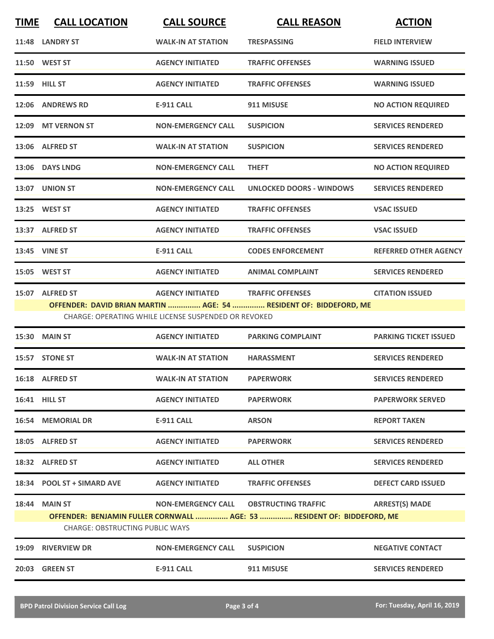| <b>TIME</b> | <b>CALL LOCATION</b> | <b>CALL SOURCE</b>                                   | <b>CALL REASON</b>                                                | <b>ACTION</b>                |
|-------------|----------------------|------------------------------------------------------|-------------------------------------------------------------------|------------------------------|
|             | 11:48 LANDRY ST      | <b>WALK-IN AT STATION</b>                            | <b>TRESPASSING</b>                                                | <b>FIELD INTERVIEW</b>       |
|             | 11:50 WEST ST        | <b>AGENCY INITIATED</b>                              | <b>TRAFFIC OFFENSES</b>                                           | <b>WARNING ISSUED</b>        |
|             | 11:59 HILL ST        | <b>AGENCY INITIATED</b>                              | <b>TRAFFIC OFFENSES</b>                                           | <b>WARNING ISSUED</b>        |
|             | 12:06 ANDREWS RD     | <b>E-911 CALL</b>                                    | 911 MISUSE                                                        | <b>NO ACTION REQUIRED</b>    |
|             | 12:09 MT VERNON ST   | <b>NON-EMERGENCY CALL</b>                            | <b>SUSPICION</b>                                                  | <b>SERVICES RENDERED</b>     |
|             | 13:06 ALFRED ST      | <b>WALK-IN AT STATION</b>                            | <b>SUSPICION</b>                                                  | <b>SERVICES RENDERED</b>     |
|             | 13:06 DAYS LNDG      | <b>NON-EMERGENCY CALL</b>                            | <b>THEFT</b>                                                      | <b>NO ACTION REQUIRED</b>    |
|             | 13:07 UNION ST       | <b>NON-EMERGENCY CALL</b>                            | <b>UNLOCKED DOORS - WINDOWS</b>                                   | <b>SERVICES RENDERED</b>     |
|             | 13:25 WEST ST        | <b>AGENCY INITIATED</b>                              | <b>TRAFFIC OFFENSES</b>                                           | <b>VSAC ISSUED</b>           |
|             | 13:37 ALFRED ST      | <b>AGENCY INITIATED</b>                              | <b>TRAFFIC OFFENSES</b>                                           | <b>VSAC ISSUED</b>           |
|             | 13:45 VINE ST        | <b>E-911 CALL</b>                                    | <b>CODES ENFORCEMENT</b>                                          | <b>REFERRED OTHER AGENCY</b> |
|             | 15:05 WEST ST        | <b>AGENCY INITIATED</b>                              | <b>ANIMAL COMPLAINT</b>                                           | <b>SERVICES RENDERED</b>     |
|             | 15:07 ALFRED ST      | <b>AGENCY INITIATED</b>                              | <b>TRAFFIC OFFENSES</b>                                           | <b>CITATION ISSUED</b>       |
|             |                      |                                                      | OFFENDER: DAVID BRIAN MARTIN  AGE: 54  RESIDENT OF: BIDDEFORD, ME |                              |
|             |                      | CHARGE: OPERATING WHILE LICENSE SUSPENDED OR REVOKED |                                                                   |                              |
|             | 15:30 MAIN ST        | <b>AGENCY INITIATED</b>                              | <b>PARKING COMPLAINT</b>                                          | <b>PARKING TICKET ISSUED</b> |

|                                        | 15:30 MAIN ST              | <b>AGENCY INITIATED</b>   | <b>PARKING COMPLAINT</b>                                                | <b>PARKING TICKET ISSUED</b> |  |
|----------------------------------------|----------------------------|---------------------------|-------------------------------------------------------------------------|------------------------------|--|
| 15:57                                  | <b>STONE ST</b>            | <b>WALK-IN AT STATION</b> | <b>HARASSMENT</b>                                                       | <b>SERVICES RENDERED</b>     |  |
|                                        | 16:18 ALFRED ST            | <b>WALK-IN AT STATION</b> | <b>PAPERWORK</b>                                                        | <b>SERVICES RENDERED</b>     |  |
|                                        | <b>16:41 HILL ST</b>       | <b>AGENCY INITIATED</b>   | <b>PAPERWORK</b>                                                        | <b>PAPERWORK SERVED</b>      |  |
| 16:54                                  | <b>MEMORIAL DR</b>         | <b>E-911 CALL</b>         | <b>ARSON</b>                                                            | <b>REPORT TAKEN</b>          |  |
|                                        | 18:05 ALFRED ST            | <b>AGENCY INITIATED</b>   | <b>PAPERWORK</b>                                                        | <b>SERVICES RENDERED</b>     |  |
|                                        | 18:32 ALFRED ST            | <b>AGENCY INITIATED</b>   | <b>ALL OTHER</b>                                                        | <b>SERVICES RENDERED</b>     |  |
|                                        | 18:34 POOL ST + SIMARD AVE | <b>AGENCY INITIATED</b>   | <b>TRAFFIC OFFENSES</b>                                                 | <b>DEFECT CARD ISSUED</b>    |  |
| 18:44                                  | <b>MAIN ST</b>             | <b>NON-EMERGENCY CALL</b> | <b>OBSTRUCTING TRAFFIC</b>                                              | <b>ARREST(S) MADE</b>        |  |
|                                        |                            |                           | OFFENDER: BENJAMIN FULLER CORNWALL  AGE: 53  RESIDENT OF: BIDDEFORD, ME |                              |  |
| <b>CHARGE: OBSTRUCTING PUBLIC WAYS</b> |                            |                           |                                                                         |                              |  |
| 19:09                                  | <b>RIVERVIEW DR</b>        | <b>NON-EMERGENCY CALL</b> | <b>SUSPICION</b>                                                        | <b>NEGATIVE CONTACT</b>      |  |
| 20:03                                  | <b>GREEN ST</b>            | <b>E-911 CALL</b>         | 911 MISUSE                                                              | <b>SERVICES RENDERED</b>     |  |